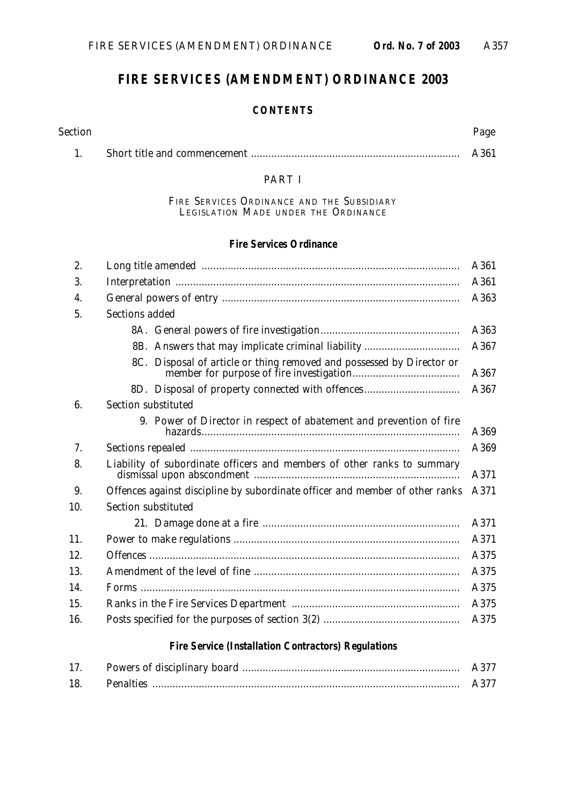# **FIRE SERVICES (AMENDMENT) ORDINANCE 2003**

#### **CONTENTS**

| Section | Page |
|---------|------|
|         | A361 |

#### PART I

FIRE SERVICES ORDINANCE AND THE SUBSIDIARY LEGISLATION MADE UNDER THE ORDINANCE

#### **Fire Services Ordinance**

| 2.                 | A361                                                                                 |      |  |  |
|--------------------|--------------------------------------------------------------------------------------|------|--|--|
| 3.                 | A361                                                                                 |      |  |  |
| $\boldsymbol{4}$ . |                                                                                      |      |  |  |
| 5.                 | <b>Sections added</b>                                                                |      |  |  |
|                    |                                                                                      | A363 |  |  |
|                    | 8B. Answers that may implicate criminal liability                                    | A367 |  |  |
|                    | 8C. Disposal of article or thing removed and possessed by Director or                | A367 |  |  |
|                    | 8D. Disposal of property connected with offences                                     | A367 |  |  |
| 6.                 | Section substituted                                                                  |      |  |  |
|                    | 9. Power of Director in respect of abatement and prevention of fire                  | A369 |  |  |
| 7.                 | A369                                                                                 |      |  |  |
| 8.                 | Liability of subordinate officers and members of other ranks to summary<br>A371      |      |  |  |
| 9.                 | Offences against discipline by subordinate officer and member of other ranks<br>A371 |      |  |  |
| 10.                | Section substituted                                                                  |      |  |  |
|                    |                                                                                      | A371 |  |  |
| 11.                |                                                                                      |      |  |  |
| 12.                |                                                                                      | A375 |  |  |
| 13.                | A375                                                                                 |      |  |  |
| 14.                | A375                                                                                 |      |  |  |
| 15.                | A375                                                                                 |      |  |  |
| 16.                |                                                                                      |      |  |  |
|                    | <b>Fire Service (Installation Contractors) Regulations</b>                           |      |  |  |

| 17. |                  |  |
|-----|------------------|--|
| 18. | <b>Penalties</b> |  |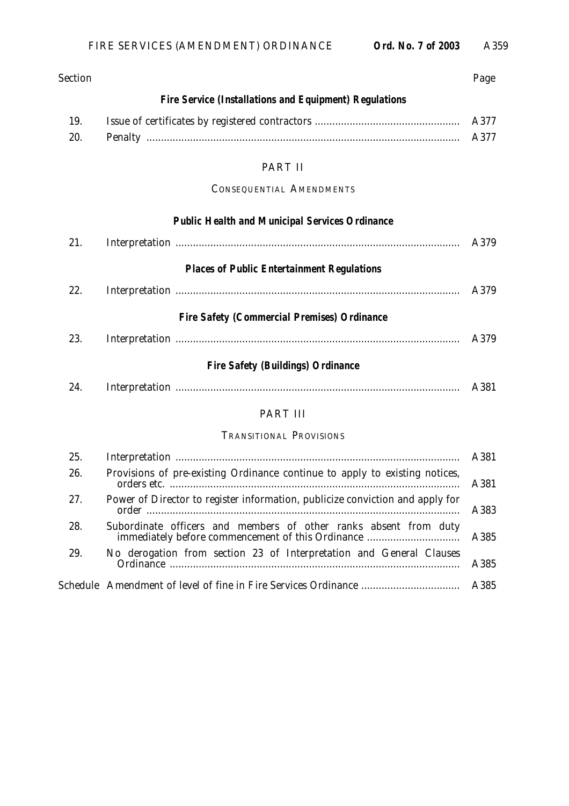| <b>Section</b> |                                                                                       | Page |  |  |
|----------------|---------------------------------------------------------------------------------------|------|--|--|
|                | <b>Fire Service (Installations and Equipment) Regulations</b>                         |      |  |  |
| 19.            | A377                                                                                  |      |  |  |
| 20.            |                                                                                       | A377 |  |  |
|                | PART II                                                                               |      |  |  |
|                | <b>CONSEQUENTIAL AMENDMENTS</b>                                                       |      |  |  |
|                | <b>Public Health and Municipal Services Ordinance</b>                                 |      |  |  |
| 21.            |                                                                                       | A379 |  |  |
|                | <b>Places of Public Entertainment Regulations</b>                                     |      |  |  |
| 22.            |                                                                                       | A379 |  |  |
|                | <b>Fire Safety (Commercial Premises) Ordinance</b>                                    |      |  |  |
| 23.            |                                                                                       | A379 |  |  |
|                | <b>Fire Safety (Buildings) Ordinance</b>                                              |      |  |  |
| 24.            |                                                                                       | A381 |  |  |
|                | <b>PART III</b>                                                                       |      |  |  |
|                | <b>TRANSITIONAL PROVISIONS</b>                                                        |      |  |  |
| 25.            |                                                                                       | A381 |  |  |
| 26.            | Provisions of pre-existing Ordinance continue to apply to existing notices,           | A381 |  |  |
| 27.            | Power of Director to register information, publicize conviction and apply for<br>A383 |      |  |  |
| 28.            | Subordinate officers and members of other ranks absent from duty                      | A385 |  |  |
| 29.            | No derogation from section 23 of Interpretation and General Clauses                   | A385 |  |  |
|                |                                                                                       | A385 |  |  |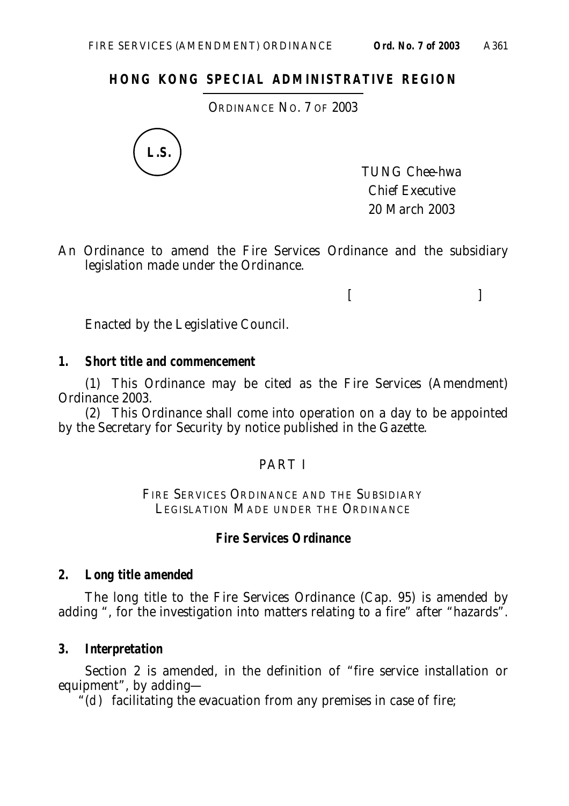### **HONG KONG SPECIAL ADMINISTRATIVE REGION**

ORDINANCE NO. 7 OF 2003



TUNG Chee-hwa Chief Executive 20 March 2003

 $[$ 

An Ordinance to amend the Fire Services Ordinance and the subsidiary legislation made under the Ordinance.

Enacted by the Legislative Council.

#### **1. Short title and commencement**

(1) This Ordinance may be cited as the Fire Services (Amendment) Ordinance 2003.

(2) This Ordinance shall come into operation on a day to be appointed by the Secretary for Security by notice published in the Gazette.

#### PART I

FIRE SERVICES ORDINANCE AND THE SUBSIDIARY LEGISLATION MADE UNDER THE ORDINANCE

#### **Fire Services Ordinance**

#### **2. Long title amended**

The long title to the Fire Services Ordinance (Cap. 95) is amended by adding ", for the investigation into matters relating to a fire" after "hazards".

#### **3. Interpretation**

Section 2 is amended, in the definition of "fire service installation or equipment", by adding—

 $\mathcal{L}(d)$  facilitating the evacuation from any premises in case of fire;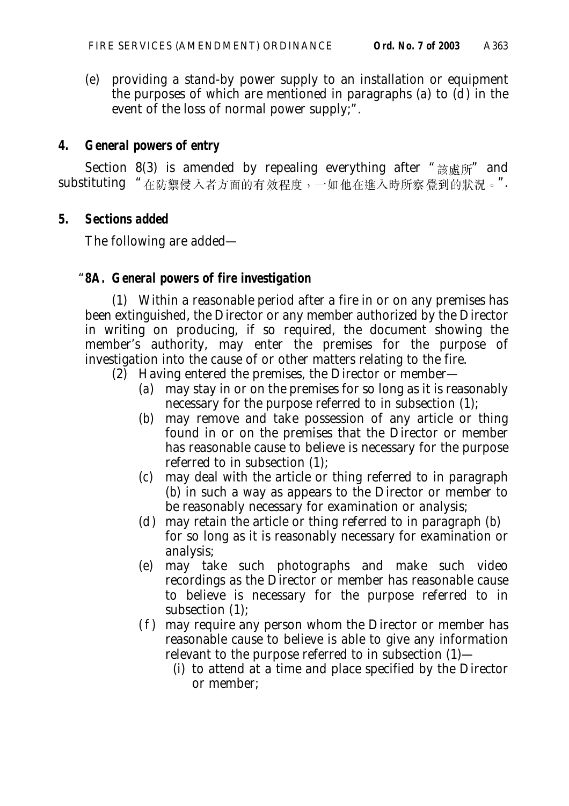(*e*) providing a stand-by power supply to an installation or equipment the purposes of which are mentioned in paragraphs (*a*) to (*d*) in the event of the loss of normal power supply;".

### **4. General powers of entry**

Section 8(3) is amended by repealing everything after " $\frac{1}{60}$   $\frac{1}{60}$   $\frac{1}{60}$   $\frac{1}{100}$  and substituting "在防禦侵入者方面的有效程度,一如他在進入時所察覺到的狀況。".

### **5. Sections added**

The following are added—

## "**8A. General powers of fire investigation**

(1) Within a reasonable period after a fire in or on any premises has been extinguished, the Director or any member authorized by the Director in writing on producing, if so required, the document showing the member's authority, may enter the premises for the purpose of investigation into the cause of or other matters relating to the fire.

- (2) Having entered the premises, the Director or member—
	- (*a*) may stay in or on the premises for so long as it is reasonably necessary for the purpose referred to in subsection (1);
	- (*b*) may remove and take possession of any article or thing found in or on the premises that the Director or member has reasonable cause to believe is necessary for the purpose referred to in subsection (1);
	- (*c*) may deal with the article or thing referred to in paragraph (*b*) in such a way as appears to the Director or member to be reasonably necessary for examination or analysis;
	- (*d*) may retain the article or thing referred to in paragraph (*b*) for so long as it is reasonably necessary for examination or analysis;
	- (*e*) may take such photographs and make such video recordings as the Director or member has reasonable cause to believe is necessary for the purpose referred to in subsection (1);
	- (*f*) may require any person whom the Director or member has reasonable cause to believe is able to give any information relevant to the purpose referred to in subsection (1)—
		- (i) to attend at a time and place specified by the Director or member;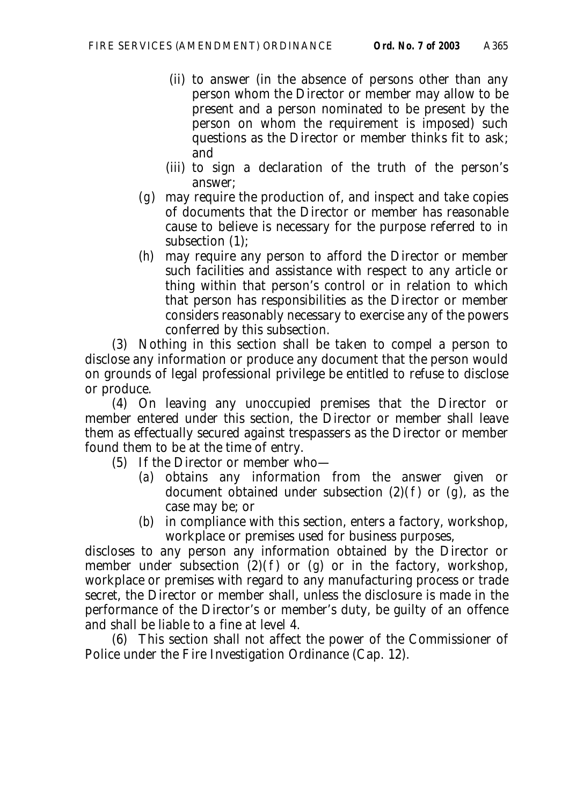- (ii) to answer (in the absence of persons other than any person whom the Director or member may allow to be present and a person nominated to be present by the person on whom the requirement is imposed) such questions as the Director or member thinks fit to ask; and
- (iii) to sign a declaration of the truth of the person's answer;
- (*g*) may require the production of, and inspect and take copies of documents that the Director or member has reasonable cause to believe is necessary for the purpose referred to in subsection (1);
- (*h*) may require any person to afford the Director or member such facilities and assistance with respect to any article or thing within that person's control or in relation to which that person has responsibilities as the Director or member considers reasonably necessary to exercise any of the powers conferred by this subsection.

(3) Nothing in this section shall be taken to compel a person to disclose any information or produce any document that the person would on grounds of legal professional privilege be entitled to refuse to disclose or produce.

(4) On leaving any unoccupied premises that the Director or member entered under this section, the Director or member shall leave them as effectually secured against trespassers as the Director or member found them to be at the time of entry.

- (5) If the Director or member who—
	- (*a*) obtains any information from the answer given or document obtained under subsection (2)(*f*) or (*g*), as the case may be; or
	- (*b*) in compliance with this section, enters a factory, workshop, workplace or premises used for business purposes,

discloses to any person any information obtained by the Director or member under subsection  $(2)(f)$  or  $(g)$  or in the factory, workshop, workplace or premises with regard to any manufacturing process or trade secret, the Director or member shall, unless the disclosure is made in the performance of the Director's or member's duty, be guilty of an offence and shall be liable to a fine at level 4.

(6) This section shall not affect the power of the Commissioner of Police under the Fire Investigation Ordinance (Cap. 12).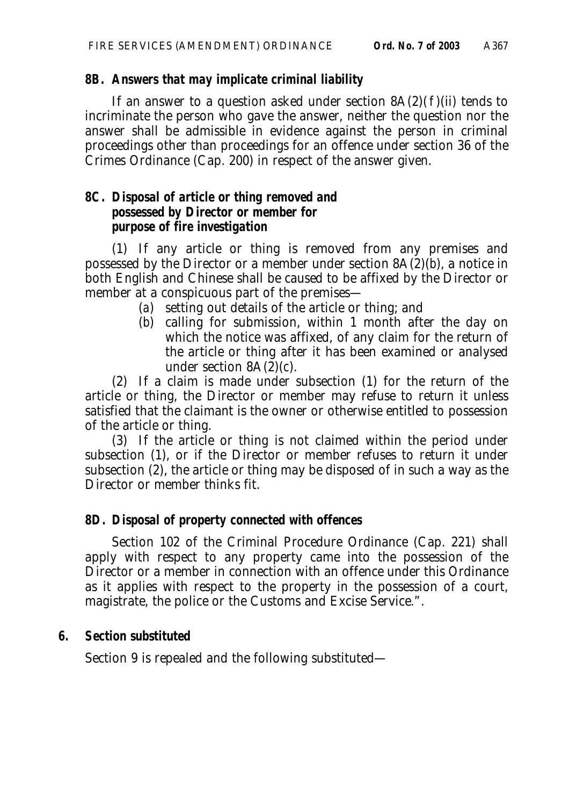### **8B. Answers that may implicate criminal liability**

If an answer to a question asked under section  $8A(2)(f)(ii)$  tends to incriminate the person who gave the answer, neither the question nor the answer shall be admissible in evidence against the person in criminal proceedings other than proceedings for an offence under section 36 of the Crimes Ordinance (Cap. 200) in respect of the answer given.

### **8C. Disposal of article or thing removed and possessed by Director or member for purpose of fire investigation**

(1) If any article or thing is removed from any premises and possessed by the Director or a member under section 8A(2)(*b*), a notice in both English and Chinese shall be caused to be affixed by the Director or member at a conspicuous part of the premises—

- (*a*) setting out details of the article or thing; and
- (*b*) calling for submission, within 1 month after the day on which the notice was affixed, of any claim for the return of the article or thing after it has been examined or analysed under section 8A(2)(*c*).

(2) If a claim is made under subsection (1) for the return of the article or thing, the Director or member may refuse to return it unless satisfied that the claimant is the owner or otherwise entitled to possession of the article or thing.

(3) If the article or thing is not claimed within the period under subsection (1), or if the Director or member refuses to return it under subsection (2), the article or thing may be disposed of in such a way as the Director or member thinks fit.

## **8D. Disposal of property connected with offences**

Section 102 of the Criminal Procedure Ordinance (Cap. 221) shall apply with respect to any property came into the possession of the Director or a member in connection with an offence under this Ordinance as it applies with respect to the property in the possession of a court, magistrate, the police or the Customs and Excise Service.".

## **6. Section substituted**

Section 9 is repealed and the following substituted—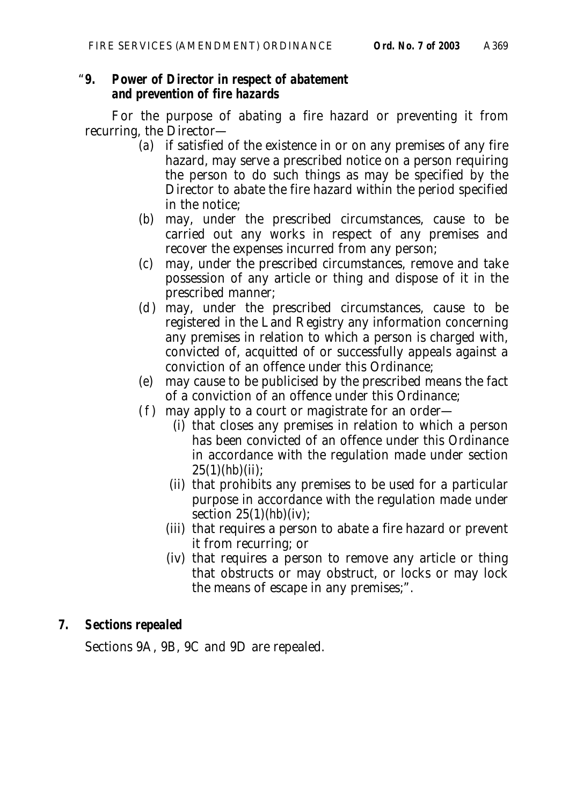#### "**9. Power of Director in respect of abatement and prevention of fire hazards**

For the purpose of abating a fire hazard or preventing it from recurring, the Director—

- (*a*) if satisfied of the existence in or on any premises of any fire hazard, may serve a prescribed notice on a person requiring the person to do such things as may be specified by the Director to abate the fire hazard within the period specified in the notice;
- (*b*) may, under the prescribed circumstances, cause to be carried out any works in respect of any premises and recover the expenses incurred from any person;
- (*c*) may, under the prescribed circumstances, remove and take possession of any article or thing and dispose of it in the prescribed manner;
- (*d*) may, under the prescribed circumstances, cause to be registered in the Land Registry any information concerning any premises in relation to which a person is charged with, convicted of, acquitted of or successfully appeals against a conviction of an offence under this Ordinance;
- (*e*) may cause to be publicised by the prescribed means the fact of a conviction of an offence under this Ordinance;
- (*f*) may apply to a court or magistrate for an order—
	- (i) that closes any premises in relation to which a person has been convicted of an offence under this Ordinance in accordance with the regulation made under section  $25(1)(hb)$ (ii);
	- (ii) that prohibits any premises to be used for a particular purpose in accordance with the regulation made under section 25(1)(*hb*)(iv);
	- (iii) that requires a person to abate a fire hazard or prevent it from recurring; or
	- (iv) that requires a person to remove any article or thing that obstructs or may obstruct, or locks or may lock the means of escape in any premises;".

# **7. Sections repealed**

Sections 9A, 9B, 9C and 9D are repealed.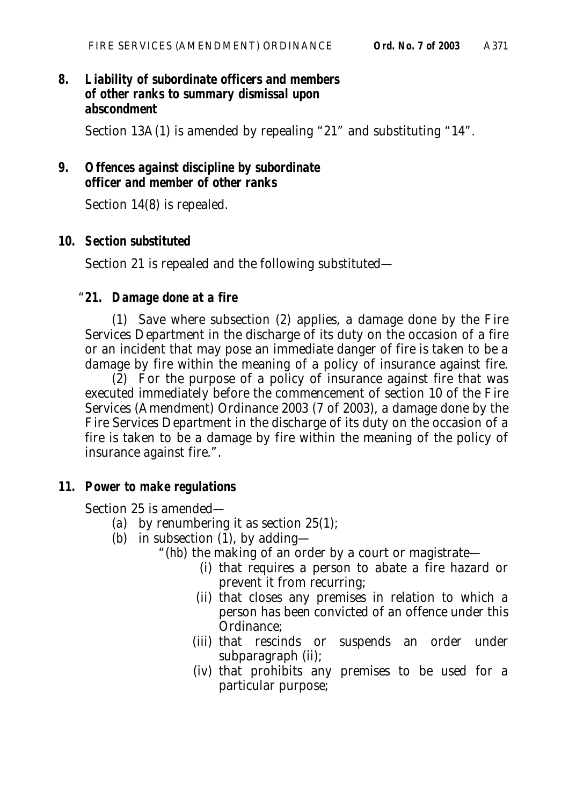# **8. Liability of subordinate officers and members of other ranks to summary dismissal upon abscondment**

Section 13A(1) is amended by repealing "21" and substituting "14".

# **9. Offences against discipline by subordinate officer and member of other ranks**

Section 14(8) is repealed.

## **10. Section substituted**

Section 21 is repealed and the following substituted—

### "**21. Damage done at a fire**

(1) Save where subsection (2) applies, a damage done by the Fire Services Department in the discharge of its duty on the occasion of a fire or an incident that may pose an immediate danger of fire is taken to be a damage by fire within the meaning of a policy of insurance against fire.

(2) For the purpose of a policy of insurance against fire that was executed immediately before the commencement of section 10 of the Fire Services (Amendment) Ordinance 2003 (7 of 2003), a damage done by the Fire Services Department in the discharge of its duty on the occasion of a fire is taken to be a damage by fire within the meaning of the policy of insurance against fire.".

#### **11. Power to make regulations**

Section 25 is amended—

- (*a*) by renumbering it as section 25(1);
- (*b*) in subsection (1), by adding—
	- "(*hb*) the making of an order by a court or magistrate—
		- (i) that requires a person to abate a fire hazard or prevent it from recurring;
		- (ii) that closes any premises in relation to which a person has been convicted of an offence under this Ordinance;
		- (iii) that rescinds or suspends an order under subparagraph (ii);
		- (iv) that prohibits any premises to be used for a particular purpose;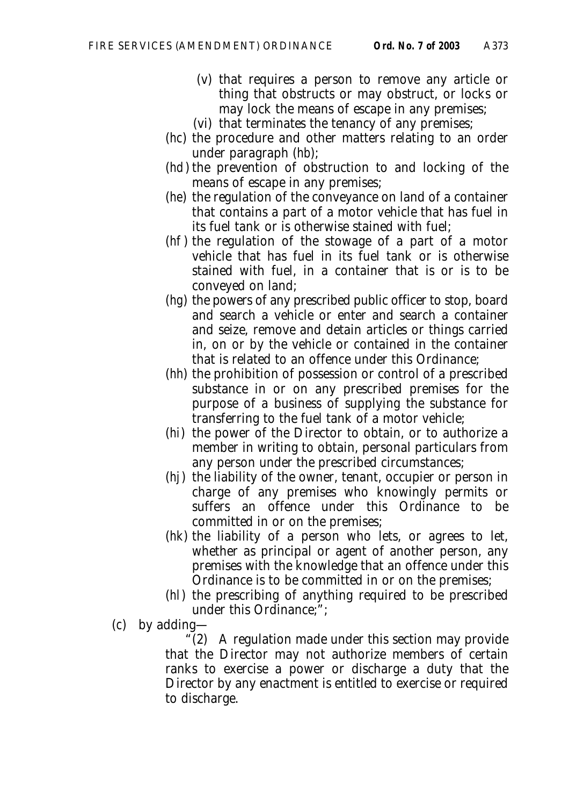- (v) that requires a person to remove any article or thing that obstructs or may obstruct, or locks or may lock the means of escape in any premises;
- (vi) that terminates the tenancy of any premises;
- (*hc*) the procedure and other matters relating to an order under paragraph (*hb*);
- (*hd*) the prevention of obstruction to and locking of the means of escape in any premises;
- (*he*) the regulation of the conveyance on land of a container that contains a part of a motor vehicle that has fuel in its fuel tank or is otherwise stained with fuel;
- (*hf*) the regulation of the stowage of a part of a motor vehicle that has fuel in its fuel tank or is otherwise stained with fuel, in a container that is or is to be conveyed on land;
- (*hg*) the powers of any prescribed public officer to stop, board and search a vehicle or enter and search a container and seize, remove and detain articles or things carried in, on or by the vehicle or contained in the container that is related to an offence under this Ordinance;
- (*hh*) the prohibition of possession or control of a prescribed substance in or on any prescribed premises for the purpose of a business of supplying the substance for transferring to the fuel tank of a motor vehicle;
- (*hi*) the power of the Director to obtain, or to authorize a member in writing to obtain, personal particulars from any person under the prescribed circumstances;
- (*hj*) the liability of the owner, tenant, occupier or person in charge of any premises who knowingly permits or suffers an offence under this Ordinance to be committed in or on the premises;
- (*hk*) the liability of a person who lets, or agrees to let, whether as principal or agent of another person, any premises with the knowledge that an offence under this Ordinance is to be committed in or on the premises;
- (*hl*) the prescribing of anything required to be prescribed under this Ordinance;";
- (*c*) by adding—

"(2) A regulation made under this section may provide that the Director may not authorize members of certain ranks to exercise a power or discharge a duty that the Director by any enactment is entitled to exercise or required to discharge.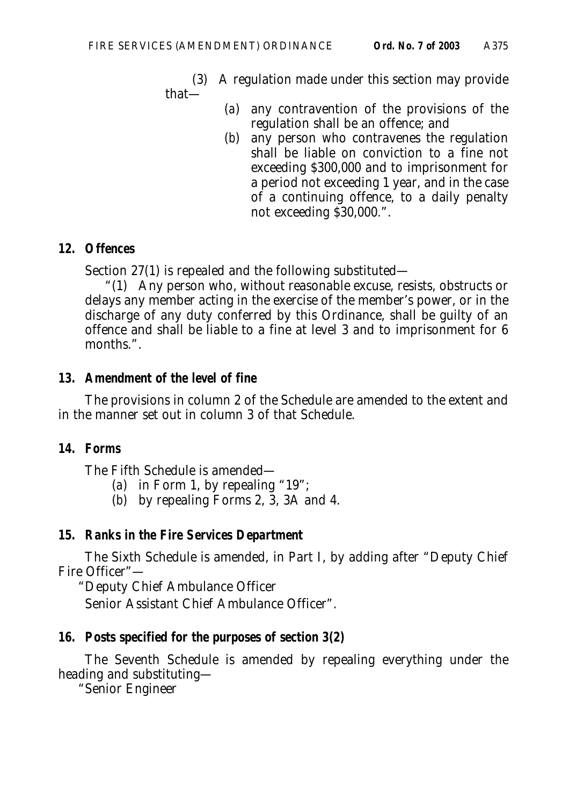(3) A regulation made under this section may provide that—

- (*a*) any contravention of the provisions of the regulation shall be an offence; and
- (*b*) any person who contravenes the regulation shall be liable on conviction to a fine not exceeding \$300,000 and to imprisonment for a period not exceeding 1 year, and in the case of a continuing offence, to a daily penalty not exceeding \$30,000.".

### **12. Offences**

Section 27(1) is repealed and the following substituted—

"(1) Any person who, without reasonable excuse, resists, obstructs or delays any member acting in the exercise of the member's power, or in the discharge of any duty conferred by this Ordinance, shall be guilty of an offence and shall be liable to a fine at level 3 and to imprisonment for 6 months.".

## **13. Amendment of the level of fine**

The provisions in column 2 of the Schedule are amended to the extent and in the manner set out in column 3 of that Schedule.

## **14. Forms**

The Fifth Schedule is amended—

- (*a*) in Form 1, by repealing "19";
- (*b*) by repealing Forms 2, 3, 3A and 4.

## **15. Ranks in the Fire Services Department**

The Sixth Schedule is amended, in Part I, by adding after "Deputy Chief Fire Officer"—

"Deputy Chief Ambulance Officer

Senior Assistant Chief Ambulance Officer".

# **16. Posts specified for the purposes of section 3(2)**

The Seventh Schedule is amended by repealing everything under the heading and substituting—

"Senior Engineer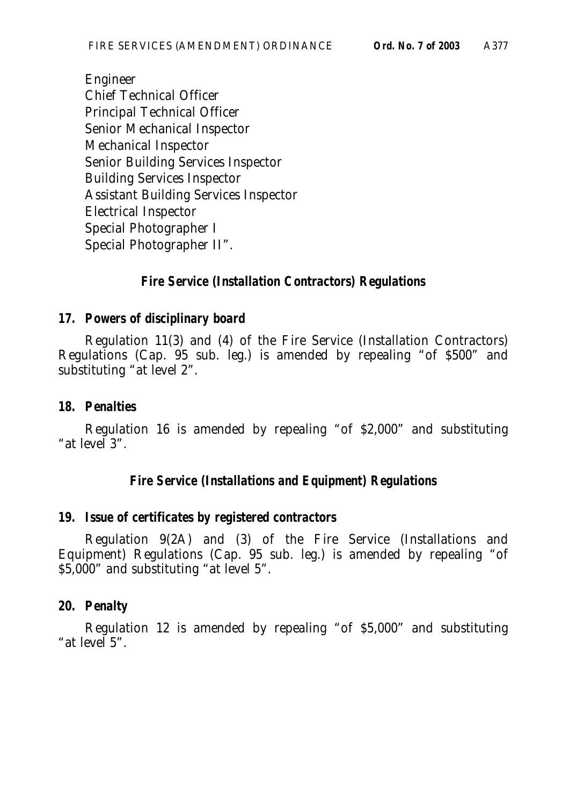Engineer Chief Technical Officer Principal Technical Officer Senior Mechanical Inspector Mechanical Inspector Senior Building Services Inspector Building Services Inspector Assistant Building Services Inspector Electrical Inspector Special Photographer I Special Photographer II".

# **Fire Service (Installation Contractors) Regulations**

# **17. Powers of disciplinary board**

Regulation 11(3) and (4) of the Fire Service (Installation Contractors) Regulations (Cap. 95 sub. leg.) is amended by repealing "of \$500" and substituting "at level 2".

## **18. Penalties**

Regulation 16 is amended by repealing "of \$2,000" and substituting "at level 3".

# **Fire Service (Installations and Equipment) Regulations**

## **19. Issue of certificates by registered contractors**

Regulation 9(2A) and (3) of the Fire Service (Installations and Equipment) Regulations (Cap. 95 sub. leg.) is amended by repealing "of \$5,000" and substituting "at level 5".

## **20. Penalty**

Regulation 12 is amended by repealing "of \$5,000" and substituting "at level 5".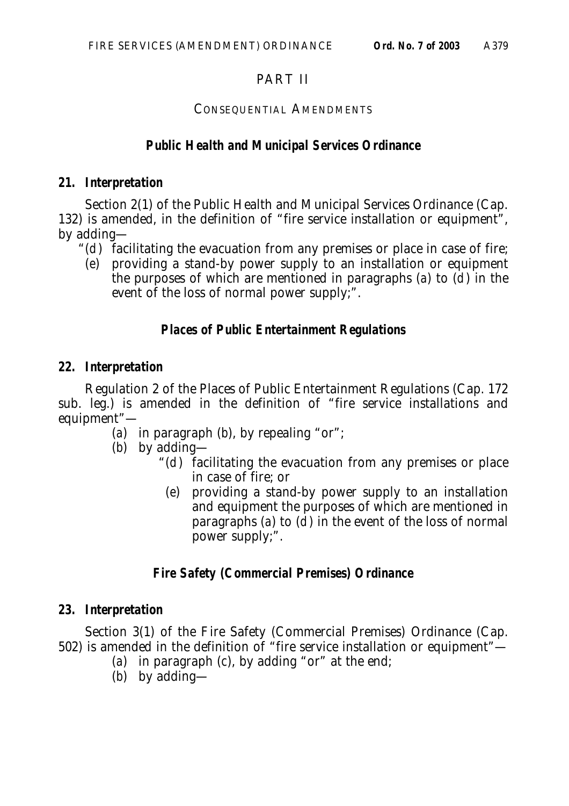# PART II

## CONSEQUENTIAL AMENDMENTS

# **Public Health and Municipal Services Ordinance**

# **21. Interpretation**

Section 2(1) of the Public Health and Municipal Services Ordinance (Cap. 132) is amended, in the definition of "fire service installation or equipment", by adding—

- " $(d)$  facilitating the evacuation from any premises or place in case of fire;
	- (*e*) providing a stand-by power supply to an installation or equipment the purposes of which are mentioned in paragraphs  $(a)$  to  $(d)$  in the event of the loss of normal power supply;".

# **Places of Public Entertainment Regulations**

# **22. Interpretation**

Regulation 2 of the Places of Public Entertainment Regulations (Cap. 172 sub. leg.) is amended in the definition of "fire service installations and equipment"—

- (*a*) in paragraph (*b*), by repealing "or";
- (*b*) by adding—
	- " $(d)$  facilitating the evacuation from any premises or place in case of fire; or
	- (*e*) providing a stand-by power supply to an installation and equipment the purposes of which are mentioned in paragraphs (*a*) to  $(d)$  in the event of the loss of normal power supply;".

# **Fire Safety (Commercial Premises) Ordinance**

# **23. Interpretation**

Section 3(1) of the Fire Safety (Commercial Premises) Ordinance (Cap. 502) is amended in the definition of "fire service installation or equipment"—

- (*a*) in paragraph (*c*), by adding "or" at the end;
- (*b*) by adding—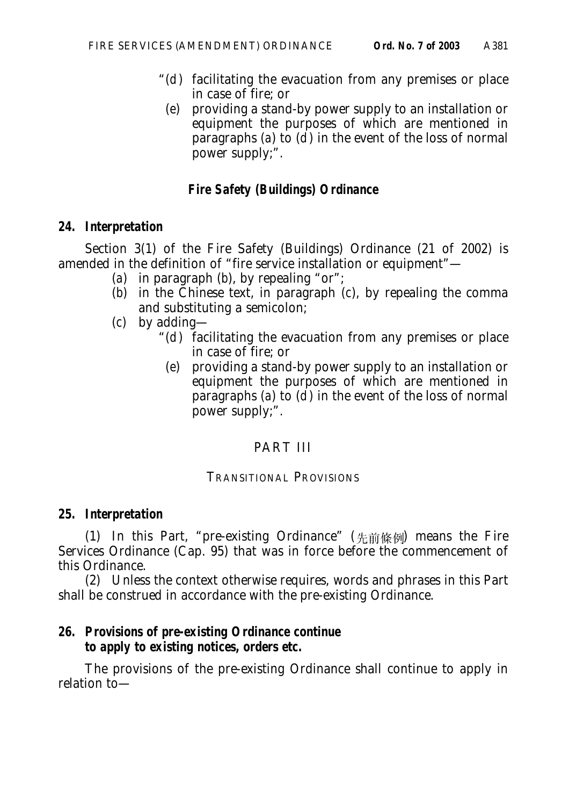- " $(d)$  facilitating the evacuation from any premises or place in case of fire; or
- (*e*) providing a stand-by power supply to an installation or equipment the purposes of which are mentioned in paragraphs (*a*) to  $(d)$  in the event of the loss of normal power supply;".

# **Fire Safety (Buildings) Ordinance**

## **24. Interpretation**

Section 3(1) of the Fire Safety (Buildings) Ordinance (21 of 2002) is amended in the definition of "fire service installation or equipment"—

- (*a*) in paragraph (*b*), by repealing "or";
- (*b*) in the Chinese text, in paragraph (*c*), by repealing the comma and substituting a semicolon;
- (*c*) by adding—
	- " $(d)$  facilitating the evacuation from any premises or place in case of fire; or
	- (*e*) providing a stand-by power supply to an installation or equipment the purposes of which are mentioned in paragraphs (*a*) to (*d*) in the event of the loss of normal power supply;".

# PART III

# TRANSITIONAL PROVISIONS

# **25. Interpretation**

(1) In this Part, "pre-existing Ordinance"  $(\nleftrightarrow$   $\hat{m}$   $\hat{m}$  means the Fire Services Ordinance (Cap. 95) that was in force before the commencement of this Ordinance.

(2) Unless the context otherwise requires, words and phrases in this Part shall be construed in accordance with the pre-existing Ordinance.

# **26. Provisions of pre-existing Ordinance continue to apply to existing notices, orders etc.**

The provisions of the pre-existing Ordinance shall continue to apply in relation to—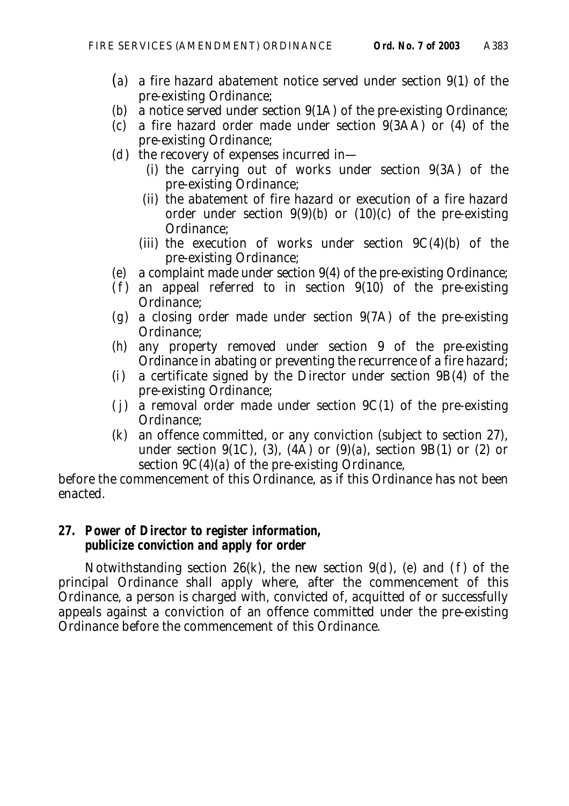- (*a*) a fire hazard abatement notice served under section 9(1) of the pre-existing Ordinance;
- (*b*) a notice served under section 9(1A) of the pre-existing Ordinance;
- (*c*) a fire hazard order made under section 9(3AA) or (4) of the pre-existing Ordinance;
- (*d*) the recovery of expenses incurred in—
	- (i) the carrying out of works under section 9(3A) of the pre-existing Ordinance;
	- (ii) the abatement of fire hazard or execution of a fire hazard order under section  $9(9)(b)$  or  $(10)(c)$  of the pre-existing Ordinance;
	- (iii) the execution of works under section  $9C(4)(b)$  of the pre-existing Ordinance;
- (*e*) a complaint made under section 9(4) of the pre-existing Ordinance;
- $(f)$  an appeal referred to in section  $9(10)$  of the pre-existing Ordinance;
- (*g*) a closing order made under section 9(7A) of the pre-existing Ordinance;
- (*h*) any property removed under section 9 of the pre-existing Ordinance in abating or preventing the recurrence of a fire hazard;
- (*i*) a certificate signed by the Director under section 9B(4) of the pre-existing Ordinance;
- $(j)$  a removal order made under section 9C(1) of the pre-existing Ordinance;
- (*k*) an offence committed, or any conviction (subject to section 27), under section 9(1C), (3), (4A) or (9)(*a*), section 9B(1) or (2) or section 9C(4)(*a*) of the pre-existing Ordinance,

before the commencement of this Ordinance, as if this Ordinance has not been enacted.

### **27. Power of Director to register information, publicize conviction and apply for order**

Notwithstanding section 26(*k*), the new section 9(*d*), (*e*) and (*f*) of the principal Ordinance shall apply where, after the commencement of this Ordinance, a person is charged with, convicted of, acquitted of or successfully appeals against a conviction of an offence committed under the pre-existing Ordinance before the commencement of this Ordinance.